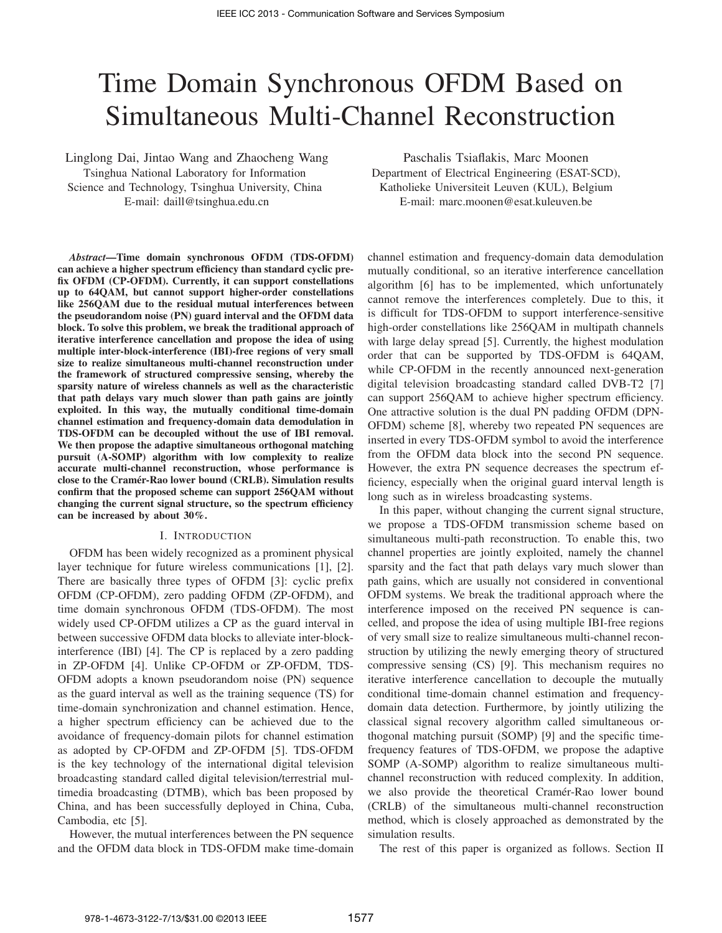# Time Domain Synchronous OFDM Based on Simultaneous Multi-Channel Reconstruction

Linglong Dai, Jintao Wang and Zhaocheng Wang Tsinghua National Laboratory for Information Science and Technology, Tsinghua University, China E-mail: daill@tsinghua.edu.cn

*Abstract*—Time domain synchronous OFDM (TDS-OFDM) can achieve a higher spectrum efficiency than standard cyclic prefix OFDM (CP-OFDM). Currently, it can support constellations up to 64QAM, but cannot support higher-order constellations like 256QAM due to the residual mutual interferences between the pseudorandom noise (PN) guard interval and the OFDM data block. To solve this problem, we break the traditional approach of iterative interference cancellation and propose the idea of using multiple inter-block-interference (IBI)-free regions of very small size to realize simultaneous multi-channel reconstruction under the framework of structured compressive sensing, whereby the sparsity nature of wireless channels as well as the characteristic that path delays vary much slower than path gains are jointly exploited. In this way, the mutually conditional time-domain channel estimation and frequency-domain data demodulation in TDS-OFDM can be decoupled without the use of IBI removal. We then propose the adaptive simultaneous orthogonal matching pursuit (A-SOMP) algorithm with low complexity to realize accurate multi-channel reconstruction, whose performance is close to the Cramér-Rao lower bound (CRLB). Simulation results confirm that the proposed scheme can support 256QAM without changing the current signal structure, so the spectrum efficiency can be increased by about 30%.

#### I. INTRODUCTION

OFDM has been widely recognized as a prominent physical layer technique for future wireless communications [1], [2]. There are basically three types of OFDM [3]: cyclic prefix OFDM (CP-OFDM), zero padding OFDM (ZP-OFDM), and time domain synchronous OFDM (TDS-OFDM). The most widely used CP-OFDM utilizes a CP as the guard interval in between successive OFDM data blocks to alleviate inter-blockinterference (IBI) [4]. The CP is replaced by a zero padding in ZP-OFDM [4]. Unlike CP-OFDM or ZP-OFDM, TDS-OFDM adopts a known pseudorandom noise (PN) sequence as the guard interval as well as the training sequence (TS) for time-domain synchronization and channel estimation. Hence, a higher spectrum efficiency can be achieved due to the avoidance of frequency-domain pilots for channel estimation as adopted by CP-OFDM and ZP-OFDM [5]. TDS-OFDM is the key technology of the international digital television broadcasting standard called digital television/terrestrial multimedia broadcasting (DTMB), which bas been proposed by China, and has been successfully deployed in China, Cuba, Cambodia, etc [5].

However, the mutual interferences between the PN sequence and the OFDM data block in TDS-OFDM make time-domain

Paschalis Tsiaflakis, Marc Moonen Department of Electrical Engineering (ESAT-SCD), Katholieke Universiteit Leuven (KUL), Belgium E-mail: marc.moonen@esat.kuleuven.be

channel estimation and frequency-domain data demodulation mutually conditional, so an iterative interference cancellation algorithm [6] has to be implemented, which unfortunately cannot remove the interferences completely. Due to this, it is difficult for TDS-OFDM to support interference-sensitive high-order constellations like 256QAM in multipath channels with large delay spread [5]. Currently, the highest modulation order that can be supported by TDS-OFDM is 64QAM, while CP-OFDM in the recently announced next-generation digital television broadcasting standard called DVB-T2 [7] can support 256QAM to achieve higher spectrum efficiency. One attractive solution is the dual PN padding OFDM (DPN-OFDM) scheme [8], whereby two repeated PN sequences are inserted in every TDS-OFDM symbol to avoid the interference from the OFDM data block into the second PN sequence. However, the extra PN sequence decreases the spectrum efficiency, especially when the original guard interval length is long such as in wireless broadcasting systems.

In this paper, without changing the current signal structure, we propose a TDS-OFDM transmission scheme based on simultaneous multi-path reconstruction. To enable this, two channel properties are jointly exploited, namely the channel sparsity and the fact that path delays vary much slower than path gains, which are usually not considered in conventional OFDM systems. We break the traditional approach where the interference imposed on the received PN sequence is cancelled, and propose the idea of using multiple IBI-free regions of very small size to realize simultaneous multi-channel reconstruction by utilizing the newly emerging theory of structured compressive sensing (CS) [9]. This mechanism requires no iterative interference cancellation to decouple the mutually conditional time-domain channel estimation and frequencydomain data detection. Furthermore, by jointly utilizing the classical signal recovery algorithm called simultaneous orthogonal matching pursuit (SOMP) [9] and the specific timefrequency features of TDS-OFDM, we propose the adaptive SOMP (A-SOMP) algorithm to realize simultaneous multichannel reconstruction with reduced complexity. In addition, we also provide the theoretical Cramér-Rao lower bound (CRLB) of the simultaneous multi-channel reconstruction method, which is closely approached as demonstrated by the simulation results.

The rest of this paper is organized as follows. Section II